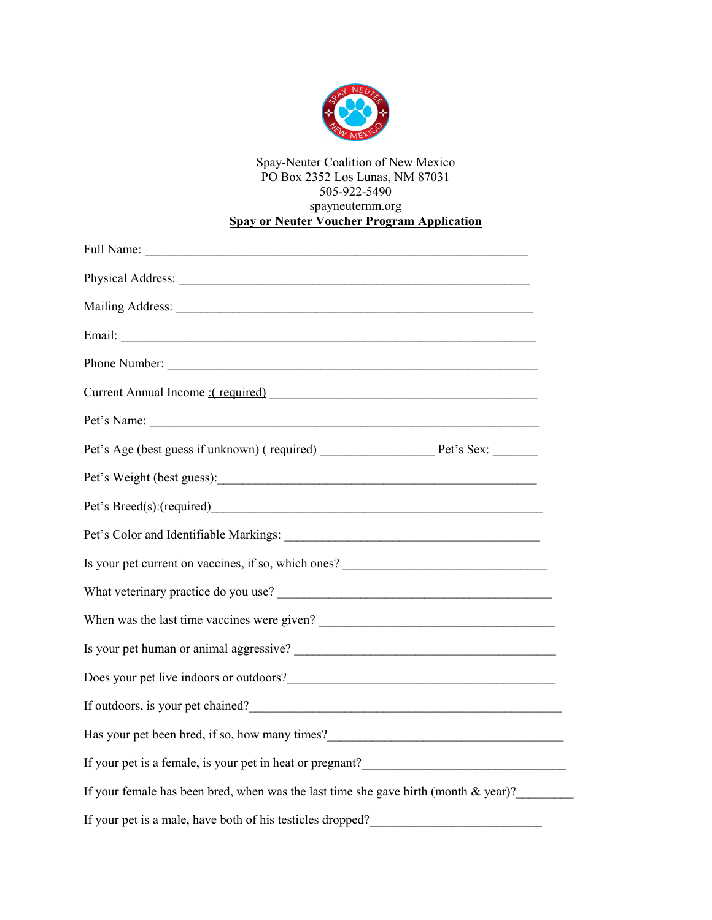

## Spay-Neuter Coalition of New Mexico PO Box 2352 Los Lunas, NM 87031 505-922-5490 spayneuternm.org **Spay or Neuter Voucher Program Application**

| Current Annual Income :(required)                                                                                                                                                                                                     |  |
|---------------------------------------------------------------------------------------------------------------------------------------------------------------------------------------------------------------------------------------|--|
|                                                                                                                                                                                                                                       |  |
|                                                                                                                                                                                                                                       |  |
| Pet's Weight (best guess):                                                                                                                                                                                                            |  |
|                                                                                                                                                                                                                                       |  |
|                                                                                                                                                                                                                                       |  |
| Is your pet current on vaccines, if so, which ones?                                                                                                                                                                                   |  |
|                                                                                                                                                                                                                                       |  |
| When was the last time vaccines were given?                                                                                                                                                                                           |  |
|                                                                                                                                                                                                                                       |  |
| Does your pet live indoors or outdoors?                                                                                                                                                                                               |  |
| If outdoors, is your pet chained?                                                                                                                                                                                                     |  |
| Has your pet been bred, if so, how many times?<br><u>Letting</u> and the set of the set of the set of the set of the set of the set of the set of the set of the set of the set of the set of the set of the set of the set of the se |  |
|                                                                                                                                                                                                                                       |  |
| If your female has been bred, when was the last time she gave birth (month $\&$ year)?                                                                                                                                                |  |
| If your pet is a male, have both of his testicles dropped?                                                                                                                                                                            |  |